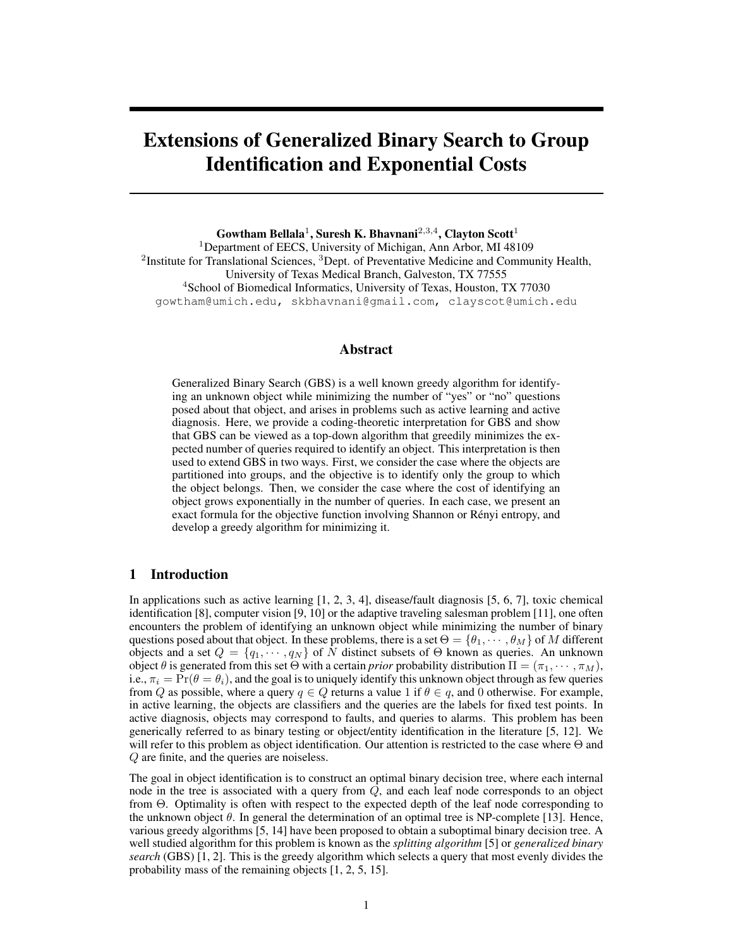# Extensions of Generalized Binary Search to Group Identification and Exponential Costs

Gowtham Bellala<sup>1</sup>, Suresh K. Bhavnani<sup>2,3,4</sup>, Clayton Scott<sup>1</sup> <sup>1</sup>Department of EECS, University of Michigan, Ann Arbor, MI 48109 <sup>2</sup>Institute for Translational Sciences, <sup>3</sup>Dept. of Preventative Medicine and Community Health, University of Texas Medical Branch, Galveston, TX 77555 <sup>4</sup>School of Biomedical Informatics, University of Texas, Houston, TX 77030 gowtham@umich.edu, skbhavnani@gmail.com, clayscot@umich.edu

# Abstract

Generalized Binary Search (GBS) is a well known greedy algorithm for identifying an unknown object while minimizing the number of "yes" or "no" questions posed about that object, and arises in problems such as active learning and active diagnosis. Here, we provide a coding-theoretic interpretation for GBS and show that GBS can be viewed as a top-down algorithm that greedily minimizes the expected number of queries required to identify an object. This interpretation is then used to extend GBS in two ways. First, we consider the case where the objects are partitioned into groups, and the objective is to identify only the group to which the object belongs. Then, we consider the case where the cost of identifying an object grows exponentially in the number of queries. In each case, we present an exact formula for the objective function involving Shannon or Rényi entropy, and develop a greedy algorithm for minimizing it.

# 1 Introduction

In applications such as active learning  $[1, 2, 3, 4]$ , disease/fault diagnosis  $[5, 6, 7]$ , toxic chemical identification [8], computer vision [9, 10] or the adaptive traveling salesman problem [11], one often encounters the problem of identifying an unknown object while minimizing the number of binary questions posed about that object. In these problems, there is a set  $\Theta = {\theta_1, \cdots, \theta_M}$  of M different objects and a set  $Q = \{q_1, \dots, q_N\}$  of N distinct subsets of  $\Theta$  known as queries. An unknown object  $\theta$  is generated from this set Θ with a certain *prior* probability distribution  $\Pi = (\pi_1, \dots, \pi_M)$ , i.e.,  $\pi_i = \Pr(\theta = \theta_i)$ , and the goal is to uniquely identify this unknown object through as few queries from Q as possible, where a query  $q \in Q$  returns a value 1 if  $\theta \in q$ , and 0 otherwise. For example, in active learning, the objects are classifiers and the queries are the labels for fixed test points. In active diagnosis, objects may correspond to faults, and queries to alarms. This problem has been generically referred to as binary testing or object/entity identification in the literature [5, 12]. We will refer to this problem as object identification. Our attention is restricted to the case where Θ and Q are finite, and the queries are noiseless.

The goal in object identification is to construct an optimal binary decision tree, where each internal node in the tree is associated with a query from Q, and each leaf node corresponds to an object from Θ. Optimality is often with respect to the expected depth of the leaf node corresponding to the unknown object  $\theta$ . In general the determination of an optimal tree is NP-complete [13]. Hence, various greedy algorithms [5, 14] have been proposed to obtain a suboptimal binary decision tree. A well studied algorithm for this problem is known as the *splitting algorithm* [5] or *generalized binary search* (GBS) [1, 2]. This is the greedy algorithm which selects a query that most evenly divides the probability mass of the remaining objects [1, 2, 5, 15].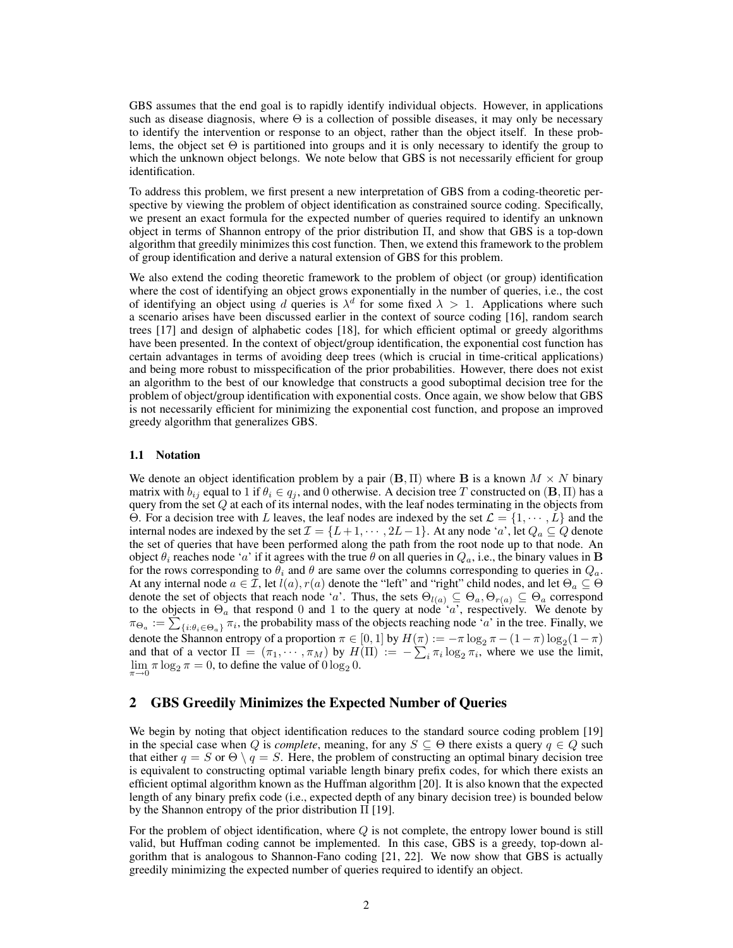GBS assumes that the end goal is to rapidly identify individual objects. However, in applications such as disease diagnosis, where  $\Theta$  is a collection of possible diseases, it may only be necessary to identify the intervention or response to an object, rather than the object itself. In these problems, the object set  $\Theta$  is partitioned into groups and it is only necessary to identify the group to which the unknown object belongs. We note below that GBS is not necessarily efficient for group identification.

To address this problem, we first present a new interpretation of GBS from a coding-theoretic perspective by viewing the problem of object identification as constrained source coding. Specifically, we present an exact formula for the expected number of queries required to identify an unknown object in terms of Shannon entropy of the prior distribution Π, and show that GBS is a top-down algorithm that greedily minimizes this cost function. Then, we extend this framework to the problem of group identification and derive a natural extension of GBS for this problem.

We also extend the coding theoretic framework to the problem of object (or group) identification where the cost of identifying an object grows exponentially in the number of queries, i.e., the cost of identifying an object using d queries is  $\lambda^d$  for some fixed  $\lambda > 1$ . Applications where such a scenario arises have been discussed earlier in the context of source coding [16], random search trees [17] and design of alphabetic codes [18], for which efficient optimal or greedy algorithms have been presented. In the context of object/group identification, the exponential cost function has certain advantages in terms of avoiding deep trees (which is crucial in time-critical applications) and being more robust to misspecification of the prior probabilities. However, there does not exist an algorithm to the best of our knowledge that constructs a good suboptimal decision tree for the problem of object/group identification with exponential costs. Once again, we show below that GBS is not necessarily efficient for minimizing the exponential cost function, and propose an improved greedy algorithm that generalizes GBS.

## 1.1 Notation

We denote an object identification problem by a pair  $(B, \Pi)$  where B is a known  $M \times N$  binary matrix with  $b_{ij}$  equal to 1 if  $\theta_i \in q_j$ , and 0 otherwise. A decision tree T constructed on  $(\mathbf{B}, \Pi)$  has a query from the set  $Q$  at each of its internal nodes, with the leaf nodes terminating in the objects from Θ. For a decision tree with L leaves, the leaf nodes are indexed by the set  $\mathcal{L} = \{1, \dots, L\}$  and the internal nodes are indexed by the set  $\mathcal{I} = \{L+1, \cdots, 2L-1\}$ . At any node 'a', let  $Q_a \subseteq Q$  denote the set of queries that have been performed along the path from the root node up to that node. An object  $\theta_i$  reaches node 'a' if it agrees with the true  $\theta$  on all queries in  $Q_a$ , i.e., the binary values in **B** for the rows corresponding to  $\theta_i$  and  $\theta$  are same over the columns corresponding to queries in  $Q_a$ . At any internal node  $a \in \mathcal{I}$ , let  $l(a), r(a)$  denote the "left" and "right" child nodes, and let  $\Theta_a \subseteq \Theta$ denote the set of objects that reach node 'a'. Thus, the sets  $\Theta_{l(a)} \subseteq \Theta_a, \Theta_{r(a)} \subseteq \Theta_a$  correspond to the objects in  $\Theta_a$  that respond 0 and 1 to the query at node 'a', respectively. We denote by  $\pi_{\Theta_a} := \sum_{\{i : \theta_i \in \Theta_a\}} \pi_i$ , the probability mass of the objects reaching node 'a' in the tree. Finally, we denote the Shannon entropy of a proportion  $\pi \in [0,1]$  by  $H(\pi) := -\pi \log_2 \pi - (1-\pi) \log_2(1-\pi)$ and that of a vector  $\Pi = (\pi_1, \dots, \pi_M)$  by  $H(\Pi) := -\sum_i \pi_i \log_2 \pi_i$ , where we use the limit,  $\lim_{\pi \to 0} \pi \log_2 \pi = 0$ , to define the value of  $0 \log_2 0$ .

# 2 GBS Greedily Minimizes the Expected Number of Queries

We begin by noting that object identification reduces to the standard source coding problem [19] in the special case when Q is *complete*, meaning, for any  $S \subseteq \Theta$  there exists a query  $q \in Q$  such that either  $q = S$  or  $\Theta \setminus q = S$ . Here, the problem of constructing an optimal binary decision tree is equivalent to constructing optimal variable length binary prefix codes, for which there exists an efficient optimal algorithm known as the Huffman algorithm [20]. It is also known that the expected length of any binary prefix code (i.e., expected depth of any binary decision tree) is bounded below by the Shannon entropy of the prior distribution Π [19].

For the problem of object identification, where  $Q$  is not complete, the entropy lower bound is still valid, but Huffman coding cannot be implemented. In this case, GBS is a greedy, top-down algorithm that is analogous to Shannon-Fano coding [21, 22]. We now show that GBS is actually greedily minimizing the expected number of queries required to identify an object.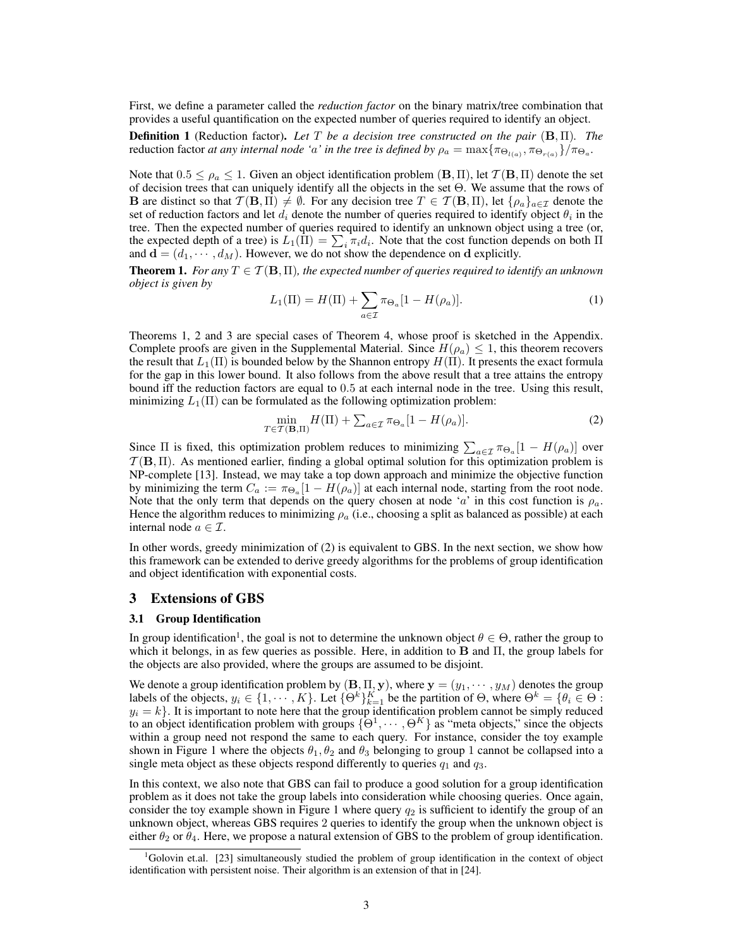First, we define a parameter called the *reduction factor* on the binary matrix/tree combination that provides a useful quantification on the expected number of queries required to identify an object.

Definition 1 (Reduction factor). *Let* T *be a decision tree constructed on the pair* (B, Π)*. The* reduction factor *at any internal node 'a' in the tree is defined by*  $\rho_a = \max\{\pi_{\Theta_{l(a)}}, \pi_{\Theta_{r(a)}}\}/\pi_{\Theta_a}$ .

Note that  $0.5 \le \rho_a \le 1$ . Given an object identification problem  $(\mathbf{B}, \Pi)$ , let  $\mathcal{T}(\mathbf{B}, \Pi)$  denote the set of decision trees that can uniquely identify all the objects in the set Θ. We assume that the rows of **B** are distinct so that  $\mathcal{T}(\mathbf{B}, \Pi) \neq \emptyset$ . For any decision tree  $T \in \mathcal{T}(\mathbf{B}, \Pi)$ , let  $\{\rho_a\}_{a \in \mathcal{I}}$  denote the set of reduction factors and let  $d_i$  denote the number of queries required to identify object  $\theta_i$  in the tree. Then the expected number of queries required to identify an unknown object using a tree (or, the expected depth of a tree) is  $L_1(\Pi) = \sum_i \pi_i d_i$ . Note that the cost function depends on both  $\Pi$ and  $\mathbf{d} = (d_1, \dots, d_M)$ . However, we do not show the dependence on d explicitly.

**Theorem 1.** *For any*  $T \in \mathcal{T}(\mathbf{B}, \Pi)$ *, the expected number of queries required to identify an unknown object is given by*

$$
L_1(\Pi) = H(\Pi) + \sum_{a \in \mathcal{I}} \pi_{\Theta_a} [1 - H(\rho_a)]. \tag{1}
$$

Theorems 1, 2 and 3 are special cases of Theorem 4, whose proof is sketched in the Appendix. Complete proofs are given in the Supplemental Material. Since  $H(\rho_a) \leq 1$ , this theorem recovers the result that  $L_1(\Pi)$  is bounded below by the Shannon entropy  $H(\Pi)$ . It presents the exact formula for the gap in this lower bound. It also follows from the above result that a tree attains the entropy bound iff the reduction factors are equal to 0.5 at each internal node in the tree. Using this result, minimizing  $L_1(\Pi)$  can be formulated as the following optimization problem:

$$
\min_{T \in \mathcal{T}(\mathbf{B}, \Pi)} H(\Pi) + \sum_{a \in \mathcal{I}} \pi_{\Theta_a} [1 - H(\rho_a)]. \tag{2}
$$

Since  $\Pi$  is fixed, this optimization problem reduces to minimizing  $\sum_{a \in \mathcal{I}} \pi_{\Theta_a} [1 - H(\rho_a)]$  over  $\mathcal{T}(\mathbf{B},\Pi)$ . As mentioned earlier, finding a global optimal solution for this optimization problem is NP-complete [13]. Instead, we may take a top down approach and minimize the objective function by minimizing the term  $C_a := \pi_{\Theta_a}[1 - H(\rho_a)]$  at each internal node, starting from the root node. Note that the only term that depends on the query chosen at node 'a' in this cost function is  $\rho_a$ . Hence the algorithm reduces to minimizing  $\rho_a$  (i.e., choosing a split as balanced as possible) at each internal node  $a \in \mathcal{I}$ .

In other words, greedy minimization of (2) is equivalent to GBS. In the next section, we show how this framework can be extended to derive greedy algorithms for the problems of group identification and object identification with exponential costs.

# 3 Extensions of GBS

## 3.1 Group Identification

In group identification<sup>1</sup>, the goal is not to determine the unknown object  $\theta \in \Theta$ , rather the group to which it belongs, in as few queries as possible. Here, in addition to  $\bf{B}$  and  $\Pi$ , the group labels for the objects are also provided, where the groups are assumed to be disjoint.

We denote a group identification problem by  $(\mathbf{B}, \Pi, \mathbf{y})$ , where  $\mathbf{y} = (y_1, \dots, y_M)$  denotes the group labels of the objects,  $y_i \in \{1, \dots, K\}$ . Let  $\{\Theta^k\}_{k=1}^K$  be the partition of  $\Theta$ , where  $\Theta^k = \{\theta_i \in \Theta\}$ .  $y_i = k$ . It is important to note here that the group identification problem cannot be simply reduced to an object identification problem with groups  $\{\Theta^1, \cdots, \Theta^K\}$  as "meta objects," since the objects within a group need not respond the same to each query. For instance, consider the toy example shown in Figure 1 where the objects  $\theta_1, \theta_2$  and  $\theta_3$  belonging to group 1 cannot be collapsed into a single meta object as these objects respond differently to queries  $q_1$  and  $q_3$ .

In this context, we also note that GBS can fail to produce a good solution for a group identification problem as it does not take the group labels into consideration while choosing queries. Once again, consider the toy example shown in Figure 1 where query  $q_2$  is sufficient to identify the group of an unknown object, whereas GBS requires 2 queries to identify the group when the unknown object is either  $\theta_2$  or  $\theta_4$ . Here, we propose a natural extension of GBS to the problem of group identification.

<sup>&</sup>lt;sup>1</sup>Golovin et.al. [23] simultaneously studied the problem of group identification in the context of object identification with persistent noise. Their algorithm is an extension of that in [24].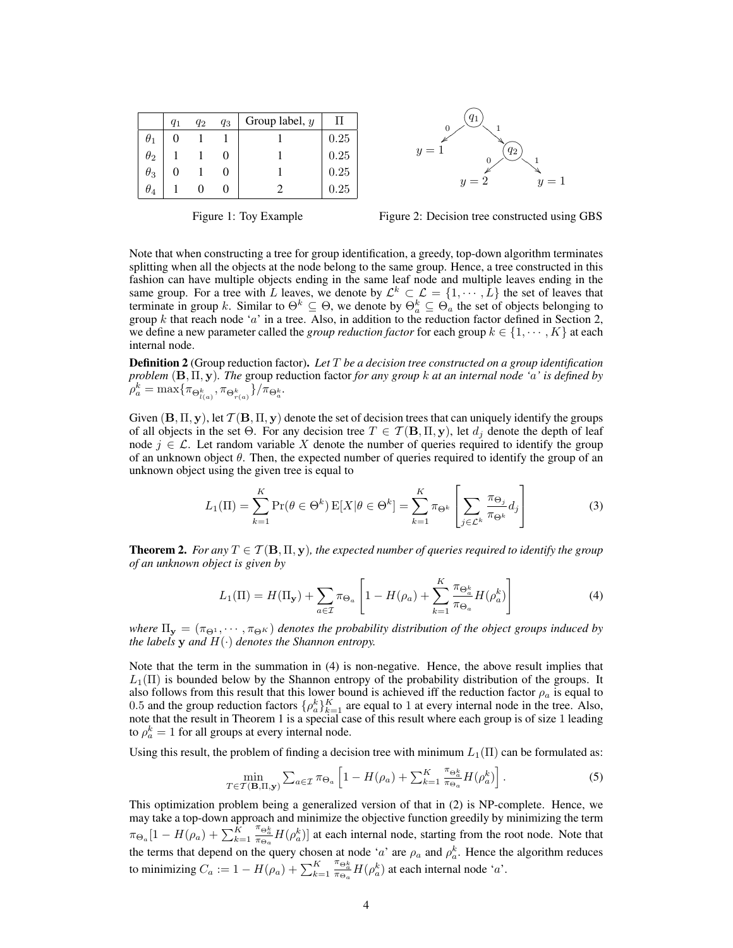|            | $q_1$ | $q_2$ | $q_3$ | Group label, y |      |
|------------|-------|-------|-------|----------------|------|
| $\theta_1$ |       |       |       |                | 0.25 |
| $\theta_2$ |       |       |       |                | 0.25 |
| $\theta_3$ |       |       |       |                | 0.25 |
| $\theta_4$ |       |       |       |                | 0.25 |



Figure 1: Toy Example



Note that when constructing a tree for group identification, a greedy, top-down algorithm terminates splitting when all the objects at the node belong to the same group. Hence, a tree constructed in this fashion can have multiple objects ending in the same leaf node and multiple leaves ending in the same group. For a tree with L leaves, we denote by  $\mathcal{L}^k \subset \mathcal{L} = \{1, \dots, L\}$  the set of leaves that terminate in group k. Similar to  $\Theta^k \subseteq \Theta$ , we denote by  $\Theta^k_a \subseteq \Theta_a$  the set of objects belonging to group  $k$  that reach node 'a' in a tree. Also, in addition to the reduction factor defined in Section 2, we define a new parameter called the *group reduction factor* for each group  $k \in \{1, \dots, K\}$  at each internal node.

Definition 2 (Group reduction factor). *Let* T *be a decision tree constructed on a group identification problem* (B, Π, y)*. The* group reduction factor *for any group* k *at an internal node '*a*' is defined by*  $\rho_{a}^{k} = \max \{ \pi_{\Theta_{l(a)}^{k}}, \pi_{\Theta_{r(a)}^{k}} \} / \pi_{\Theta_{a}^{k}}.$ 

Given  $(B, \Pi, y)$ , let  $\mathcal{T}(B, \Pi, y)$  denote the set of decision trees that can uniquely identify the groups of all objects in the set Θ. For any decision tree  $T \in \mathcal{T}(\mathbf{B}, \Pi, \mathbf{y})$ , let  $d_i$  denote the depth of leaf node  $j \in \mathcal{L}$ . Let random variable X denote the number of queries required to identify the group of an unknown object  $\theta$ . Then, the expected number of queries required to identify the group of an unknown object using the given tree is equal to

$$
L_1(\Pi) = \sum_{k=1}^{K} \Pr(\theta \in \Theta^k) \, \mathbb{E}[X | \theta \in \Theta^k] = \sum_{k=1}^{K} \pi_{\Theta^k} \left[ \sum_{j \in \mathcal{L}^k} \frac{\pi_{\Theta_j}}{\pi_{\Theta^k}} d_j \right] \tag{3}
$$

**Theorem 2.** For any  $T \in \mathcal{T}(\mathbf{B}, \Pi, \mathbf{y})$ , the expected number of queries required to identify the group *of an unknown object is given by*

$$
L_1(\Pi) = H(\Pi_\mathbf{y}) + \sum_{a \in \mathcal{I}} \pi_{\Theta_a} \left[ 1 - H(\rho_a) + \sum_{k=1}^K \frac{\pi_{\Theta_a^k}}{\pi_{\Theta_a}} H(\rho_a^k) \right]
$$
(4)

*where*  $\Pi_{y} = (\pi_{\Theta^{1}}, \dots, \pi_{\Theta^{K}})$  *denotes the probability distribution of the object groups induced by the labels* **y** *and*  $H(\cdot)$  *denotes the Shannon entropy.* 

Note that the term in the summation in (4) is non-negative. Hence, the above result implies that  $L_1(\Pi)$  is bounded below by the Shannon entropy of the probability distribution of the groups. It also follows from this result that this lower bound is achieved iff the reduction factor  $\rho_a$  is equal to 0.5 and the group reduction factors  $\{\rho_a^k\}_{k=1}^K$  are equal to 1 at every internal node in the tree. Also, note that the result in Theorem 1 is a special case of this result where each group is of size 1 leading to  $\rho_a^k = 1$  for all groups at every internal node.

Using this result, the problem of finding a decision tree with minimum  $L_1(\Pi)$  can be formulated as:

$$
\min_{T \in \mathcal{T}(\mathbf{B},\Pi,\mathbf{y})} \sum_{a \in \mathcal{I}} \pi_{\Theta_a} \left[ 1 - H(\rho_a) + \sum_{k=1}^K \frac{\pi_{\Theta_a^k}}{\pi_{\Theta_a}} H(\rho_a^k) \right]. \tag{5}
$$

This optimization problem being a generalized version of that in (2) is NP-complete. Hence, we may take a top-down approach and minimize the objective function greedily by minimizing the term  $\pi_{\Theta_a}[1-H(\rho_a)+\sum_{k=1}^K$  $\frac{\pi_{\Theta_a^k}}{\pi_{\Theta_a}} H(\rho_a^k)$ ] at each internal node, starting from the root node. Note that the terms that depend on the query chosen at node 'a' are  $\rho_a$  and  $\rho_a^k$ . Hence the algorithm reduces to minimizing  $C_a := 1 - H(\rho_a) + \sum_{k=1}^K$  $\frac{\pi_{\Theta_a^k}}{\pi_{\Theta_a}} H(\rho_a^k)$  at each internal node 'a'.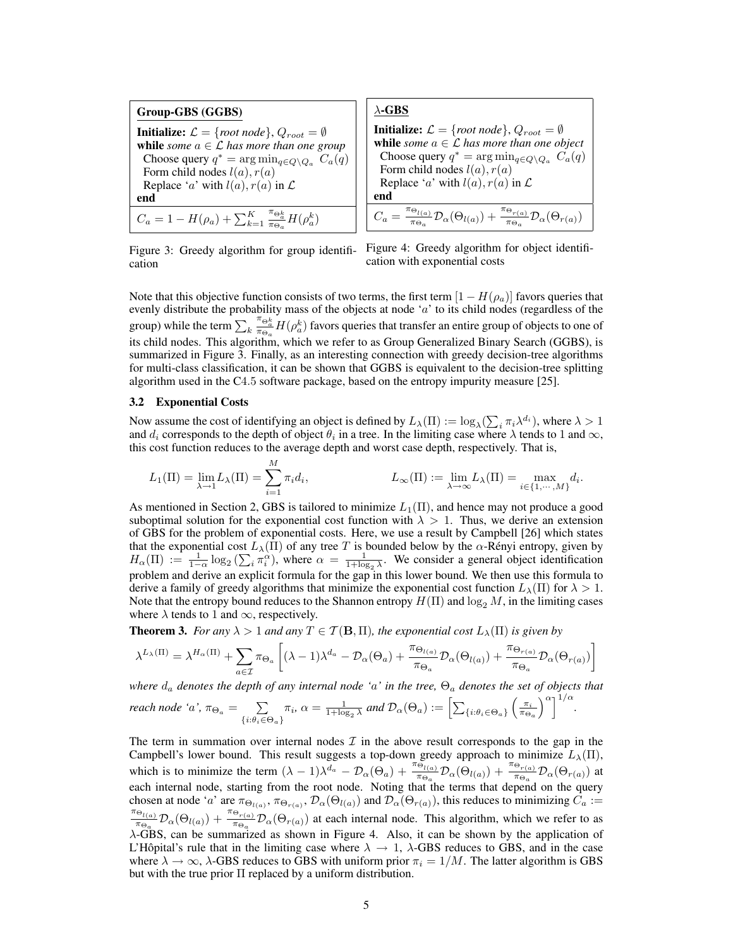Group-GBS (GGBS) **Initialize:**  $\mathcal{L} = \{root \, node\}, Q_{root} = \emptyset$ while *some*  $a \in \mathcal{L}$  *has more than one group* Choose query  $q^* = \arg \min_{q \in Q \setminus Q_a} C_a(q)$ Form child nodes  $l(a)$ ,  $r(a)$ Replace 'a' with  $l(a)$ ,  $r(a)$  in  $\mathcal L$ end  $C_a = 1 - H(\rho_a) + \sum_{k=1}^K$  $\frac{\pi_{\Theta_a^k}}{\pi_{\Theta_a}} H(\rho_a^k)$ 

**Initialize:** 
$$
\mathcal{L} = \{ root \ node \}
$$
,  $Q_{root} = \emptyset$  **while** *some*  $a \in \mathcal{L}$  has more than one object. Choose query  $q^* = \arg \min_{q \in Q \setminus Q_a} C_a(q)$  Form child nodes  $l(a), r(a)$  Replace 'a' with  $l(a), r(a)$  in  $\mathcal{L}$  **end**  $C_a = \frac{\pi_{\Theta_{l(a)}}}{\pi_{\Theta_a}} \mathcal{D}_{\alpha}(\Theta_{l(a)}) + \frac{\pi_{\Theta_{r(a)}}}{\pi_{\Theta_a}} \mathcal{D}_{\alpha}(\Theta_{r(a)})$ 

Figure 3: Greedy algorithm for group identification



Note that this objective function consists of two terms, the first term  $[1 - H(\rho_a)]$  favors queries that evenly distribute the probability mass of the objects at node 'a' to its child nodes (regardless of the group) while the term  $\sum_k$  $\frac{\pi_{\Theta_n^k}}{\pi_{\Theta_a}} H(\rho_a^k)$  favors queries that transfer an entire group of objects to one of its child nodes. This algorithm, which we refer to as Group Generalized Binary Search (GGBS), is summarized in Figure 3. Finally, as an interesting connection with greedy decision-tree algorithms for multi-class classification, it can be shown that GGBS is equivalent to the decision-tree splitting algorithm used in the C4.5 software package, based on the entropy impurity measure [25].

## 3.2 Exponential Costs

Now assume the cost of identifying an object is defined by  $L_\lambda(\Pi) := \log_\lambda(\sum_i \pi_i \lambda^{d_i})$ , where  $\lambda > 1$ and  $d_i$  corresponds to the depth of object  $\theta_i$  in a tree. In the limiting case where  $\lambda$  tends to 1 and  $\infty$ , this cost function reduces to the average depth and worst case depth, respectively. That is,

$$
L_1(\Pi) = \lim_{\lambda \to 1} L_\lambda(\Pi) = \sum_{i=1}^M \pi_i d_i, \qquad L_\infty(\Pi) := \lim_{\lambda \to \infty} L_\lambda(\Pi) = \max_{i \in \{1, \cdots, M\}} d_i.
$$

As mentioned in Section 2, GBS is tailored to minimize  $L_1(\Pi)$ , and hence may not produce a good suboptimal solution for the exponential cost function with  $\lambda > 1$ . Thus, we derive an extension of GBS for the problem of exponential costs. Here, we use a result by Campbell [26] which states that the exponential cost  $L_{\lambda}(\Pi)$  of any tree T is bounded below by the  $\alpha$ -Rényi entropy, given by  $H_{\alpha}(\Pi) := \frac{1}{1-\alpha} \log_2(\sum_i \pi_i^{\alpha})$ , where  $\alpha = \frac{1}{1+\log_2 \lambda}$ . We consider a general object identification problem and derive an explicit formula for the gap in this lower bound. We then use this formula to derive a family of greedy algorithms that minimize the exponential cost function  $L_{\lambda}(\Pi)$  for  $\lambda > 1$ . Note that the entropy bound reduces to the Shannon entropy  $H(\Pi)$  and  $\log_2 M$ , in the limiting cases where  $\lambda$  tends to 1 and  $\infty$ , respectively.

**Theorem 3.** *For any*  $\lambda > 1$  *and any*  $T \in \mathcal{T}(\mathbf{B}, \Pi)$ *, the exponential cost*  $L_{\lambda}(\Pi)$  *is given by* 

$$
\lambda^{L_{\lambda}(\Pi)} = \lambda^{H_{\alpha}(\Pi)} + \sum_{a \in \mathcal{I}} \pi_{\Theta_{a}} \left[ (\lambda - 1) \lambda^{d_{a}} - \mathcal{D}_{\alpha}(\Theta_{a}) + \frac{\pi_{\Theta_{l(a)}}}{\pi_{\Theta_{a}}} \mathcal{D}_{\alpha}(\Theta_{l(a)}) + \frac{\pi_{\Theta_{r(a)}}}{\pi_{\Theta_{a}}} \mathcal{D}_{\alpha}(\Theta_{r(a)}) \right]
$$

*where* d<sup>a</sup> *denotes the depth of any internal node '*a*' in the tree,* Θ<sup>a</sup> *denotes the set of objects that*

reach node 'a', 
$$
\pi_{\Theta_a} = \sum_{\{i:\theta_i \in \Theta_a\}} \pi_i
$$
,  $\alpha = \frac{1}{1 + \log_2 \lambda}$  and  $\mathcal{D}_{\alpha}(\Theta_a) := \left[ \sum_{\{i:\theta_i \in \Theta_a\}} \left( \frac{\pi_i}{\pi_{\Theta_a}} \right)^{\alpha} \right]^{1/\alpha}$ .

The term in summation over internal nodes  $\mathcal I$  in the above result corresponds to the gap in the Campbell's lower bound. This result suggests a top-down greedy approach to minimize  $L_{\lambda}(\Pi)$ , which is to minimize the term  $(\lambda - 1)\lambda^{d_a} - \mathcal{D}_{\alpha}(\Theta_a) + \frac{\pi_{\Theta_{l(a)}}^2}{\pi_{\Theta_a}} \mathcal{D}_{\alpha}(\Theta_{l(a)}) + \frac{\pi_{\Theta_{r(a)}}}{\pi_{\Theta_a}} \mathcal{D}_{\alpha}(\Theta_{r(a)})$  at each internal node, starting from the root node. Noting that the terms that depend on the query chosen at node 'a' are  $\pi_{\Theta_{t(a)}}, \pi_{\Theta_{r(a)}}, \mathcal{D}_{\alpha}(\Theta_{l(a)})$  and  $\mathcal{D}_{\alpha}(\Theta_{r(a)})$ , this reduces to minimizing  $C_a :=$  $\pi_{\Theta_{l(a)}}$  $\frac{\Theta_{l(a)}}{\pi \Theta_a}$   $\mathcal{D}_{\alpha}(\Theta_{l(a)}) + \frac{\pi \Theta_{r(a)}}{\pi \Theta_a}$   $\mathcal{D}_{\alpha}(\Theta_{r(a)})$  at each internal node. This algorithm, which we refer to as λ-GBS, can be summarized as shown in Figure 4. Also, it can be shown by the application of L'Hôpital's rule that in the limiting case where  $\lambda \rightarrow 1$ ,  $\lambda$ -GBS reduces to GBS, and in the case where  $\lambda \to \infty$ ,  $\lambda$ -GBS reduces to GBS with uniform prior  $\pi_i = 1/M$ . The latter algorithm is GBS but with the true prior  $\Pi$  replaced by a uniform distribution.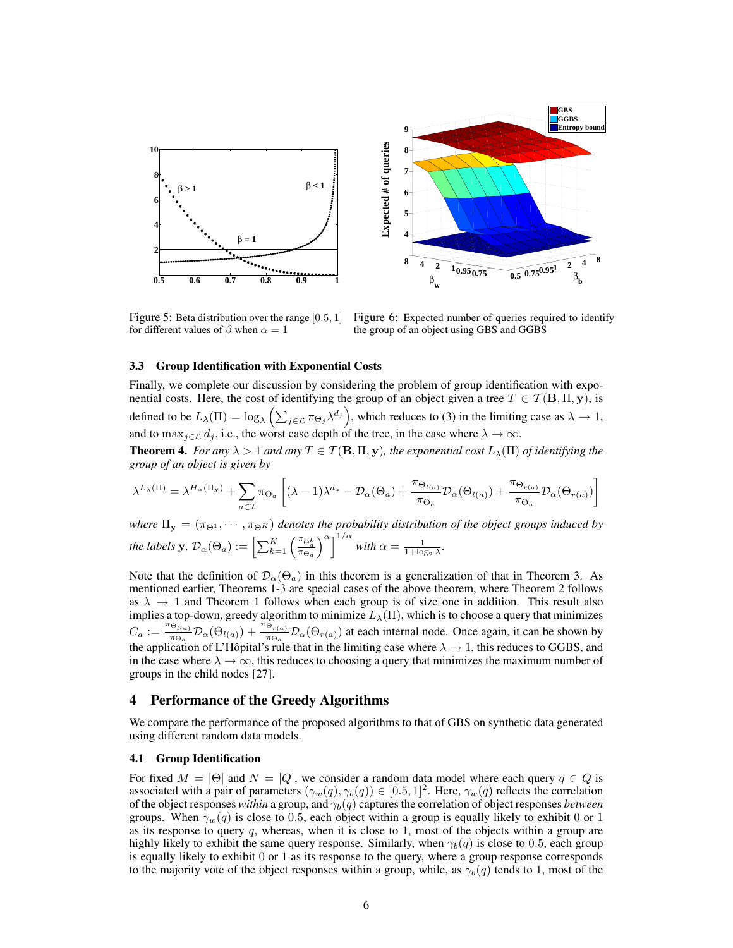

Figure 5: Beta distribution over the range [0.5, 1] for different values of  $\beta$  when  $\alpha = 1$ 

Figure 6: Expected number of queries required to identify the group of an object using GBS and GGBS

#### 3.3 Group Identification with Exponential Costs

Finally, we complete our discussion by considering the problem of group identification with exponential costs. Here, the cost of identifying the group of an object given a tree  $T \in \mathcal{T}(\mathbf{B}, \Pi, \mathbf{y})$ , is defined to be  $L_{\lambda}(\Pi) = \log_{\lambda} \left( \sum_{j \in \mathcal{L}} \pi_{\Theta_j} \lambda^{d_j} \right)$ , which reduces to (3) in the limiting case as  $\lambda \to 1$ , and to  $\max_{j \in \mathcal{L}} d_j$ , i.e., the worst case depth of the tree, in the case where  $\lambda \to \infty$ .

**Theorem 4.** *For any*  $\lambda > 1$  *and any*  $T \in \mathcal{T}(\mathbf{B}, \Pi, \mathbf{y})$ *, the exponential cost*  $L_{\lambda}(\Pi)$  *of identifying the group of an object is given by*

$$
\lambda^{L_{\lambda}(\Pi)} = \lambda^{H_{\alpha}(\Pi_{\mathbf{y}})} + \sum_{a \in \mathcal{I}} \pi_{\Theta_{a}} \left[ (\lambda - 1) \lambda^{d_{a}} - \mathcal{D}_{\alpha}(\Theta_{a}) + \frac{\pi_{\Theta_{l(a)}}}{\pi_{\Theta_{a}}} \mathcal{D}_{\alpha}(\Theta_{l(a)}) + \frac{\pi_{\Theta_{r(a)}}}{\pi_{\Theta_{a}}} \mathcal{D}_{\alpha}(\Theta_{r(a)}) \right]
$$

*where*  $\Pi_{y} = (\pi_{\Theta^1}, \cdots, \pi_{\Theta^K})$  *denotes the probability distribution of the object groups induced by the labels*  $\mathbf{y}, \, \mathcal{D}_{\alpha}(\Theta_a) := \left[ \sum_{k=1}^K \left( \frac{\pi_{\Theta_a^k}}{\pi_{\Theta_a}} \right) \right]$  $\int^{\alpha}$ <sup>1/ $\alpha$ </sup> with  $\alpha = \frac{1}{1+\log_2 \lambda}$ .

Note that the definition of  $\mathcal{D}_{\alpha}(\Theta_a)$  in this theorem is a generalization of that in Theorem 3. As mentioned earlier, Theorems 1-3 are special cases of the above theorem, where Theorem 2 follows as  $\lambda \rightarrow 1$  and Theorem 1 follows when each group is of size one in addition. This result also implies a top-down, greedy algorithm to minimize  $L_{\lambda}(\Pi)$ , which is to choose a query that minimizes  $C_a := \frac{\pi_{\Theta_{l(a)}}}{\pi_{\Theta}}$  $\frac{\Theta_{l(a)}}{\pi_{\Theta_a}} \mathcal{D}_{\alpha}(\Theta_{l(a)}) + \frac{\pi_{\Theta_{r(a)}}}{\pi_{\Theta_a}} \mathcal{D}_{\alpha}(\Theta_{r(a)})$  at each internal node. Once again, it can be shown by the application of L'Hôpital's rule that in the limiting case where  $\lambda \to 1$ , this reduces to GGBS, and in the case where  $\lambda \to \infty$ , this reduces to choosing a query that minimizes the maximum number of groups in the child nodes [27].

# 4 Performance of the Greedy Algorithms

We compare the performance of the proposed algorithms to that of GBS on synthetic data generated using different random data models.

## 4.1 Group Identification

For fixed  $M = |\Theta|$  and  $N = |Q|$ , we consider a random data model where each query  $q \in Q$  is associated with a pair of parameters  $(\gamma_w(q), \gamma_b(q)) \in [0.5, 1]^2$ . Here,  $\gamma_w(q)$  reflects the correlation of the object responses *within* a group, and  $\gamma_b(q)$  captures the correlation of object responses *between* groups. When  $\gamma_w(q)$  is close to 0.5, each object within a group is equally likely to exhibit 0 or 1 as its response to query  $q$ , whereas, when it is close to 1, most of the objects within a group are highly likely to exhibit the same query response. Similarly, when  $\gamma_b(q)$  is close to 0.5, each group is equally likely to exhibit 0 or 1 as its response to the query, where a group response corresponds to the majority vote of the object responses within a group, while, as  $\gamma_b(q)$  tends to 1, most of the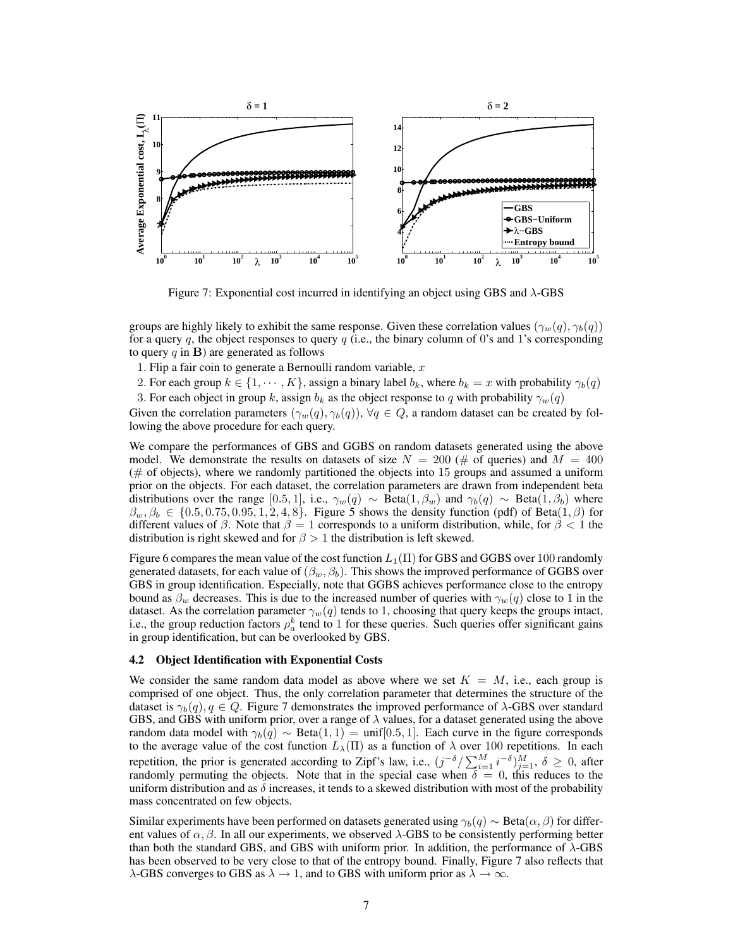

Figure 7: Exponential cost incurred in identifying an object using GBS and λ-GBS

groups are highly likely to exhibit the same response. Given these correlation values  $(\gamma_w(q), \gamma_b(q))$ for a query q, the object responses to query  $q$  (i.e., the binary column of 0's and 1's corresponding to query  $q$  in **B**) are generated as follows

1. Flip a fair coin to generate a Bernoulli random variable,  $x$ 

2. For each group  $k \in \{1, \dots, K\}$ , assign a binary label  $b_k$ , where  $b_k = x$  with probability  $\gamma_b(q)$ 3. For each object in group k, assign  $b_k$  as the object response to q with probability  $\gamma_w(q)$ 

Given the correlation parameters  $(\gamma_w(q), \gamma_b(q)), \forall q \in Q$ , a random dataset can be created by following the above procedure for each query.

We compare the performances of GBS and GGBS on random datasets generated using the above model. We demonstrate the results on datasets of size  $N = 200$  (# of queries) and  $M = 400$ ( $#$  of objects), where we randomly partitioned the objects into 15 groups and assumed a uniform prior on the objects. For each dataset, the correlation parameters are drawn from independent beta distributions over the range [0.5, 1], i.e.,  $\gamma_w(q) \sim \text{Beta}(1, \beta_w)$  and  $\gamma_b(q) \sim \text{Beta}(1, \beta_b)$  where  $\beta_w, \beta_b \in \{0.5, 0.75, 0.95, 1, 2, 4, 8\}$ . Figure 5 shows the density function (pdf) of Beta $(1, \beta)$  for different values of  $\beta$ . Note that  $\beta = 1$  corresponds to a uniform distribution, while, for  $\beta < 1$  the distribution is right skewed and for  $\beta > 1$  the distribution is left skewed.

Figure 6 compares the mean value of the cost function  $L_1(\Pi)$  for GBS and GGBS over 100 randomly generated datasets, for each value of  $(\beta_w, \beta_b)$ . This shows the improved performance of GGBS over GBS in group identification. Especially, note that GGBS achieves performance close to the entropy bound as  $\beta_w$  decreases. This is due to the increased number of queries with  $\gamma_w(q)$  close to 1 in the dataset. As the correlation parameter  $\gamma_w(q)$  tends to 1, choosing that query keeps the groups intact, i.e., the group reduction factors  $\rho_a^k$  tend to 1 for these queries. Such queries offer significant gains in group identification, but can be overlooked by GBS.

## 4.2 Object Identification with Exponential Costs

We consider the same random data model as above where we set  $K = M$ , i.e., each group is comprised of one object. Thus, the only correlation parameter that determines the structure of the dataset is  $\gamma_b(q)$ ,  $q \in Q$ . Figure 7 demonstrates the improved performance of  $\lambda$ -GBS over standard GBS, and GBS with uniform prior, over a range of  $\lambda$  values, for a dataset generated using the above random data model with  $\gamma_b(q) \sim \text{Beta}(1, 1) = \text{unif}[0.5, 1]$ . Each curve in the figure corresponds to the average value of the cost function  $L_{\lambda}(\Pi)$  as a function of  $\lambda$  over 100 repetitions. In each repetition, the prior is generated according to Zipf's law, i.e.,  $(j^{-\delta}/\sum_{i=1}^{M} i^{-\delta})_{j=1}^{M}$ ,  $\delta \geq 0$ , after randomly permuting the objects. Note that in the special case when  $\delta = 0$ , this reduces to the uniform distribution and as  $\delta$  increases, it tends to a skewed distribution with most of the probability mass concentrated on few objects.

Similar experiments have been performed on datasets generated using  $\gamma_b(q) \sim \text{Beta}(\alpha, \beta)$  for different values of  $\alpha$ ,  $\beta$ . In all our experiments, we observed  $\lambda$ -GBS to be consistently performing better than both the standard GBS, and GBS with uniform prior. In addition, the performance of  $\lambda$ -GBS has been observed to be very close to that of the entropy bound. Finally, Figure 7 also reflects that  $\lambda$ -GBS converges to GBS as  $\lambda \to 1$ , and to GBS with uniform prior as  $\lambda \to \infty$ .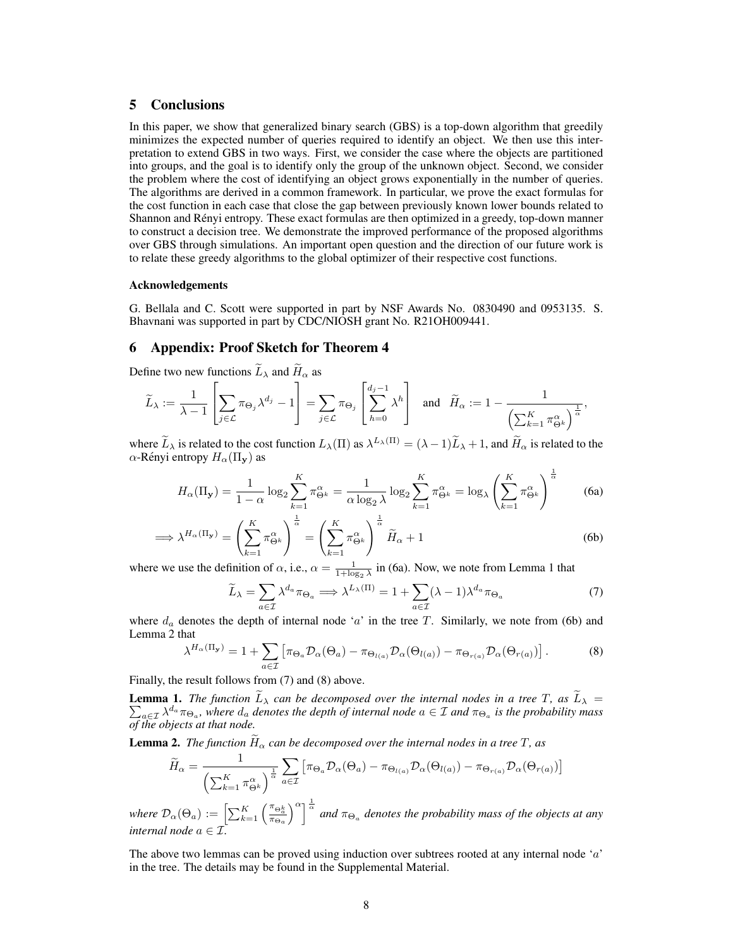# 5 Conclusions

In this paper, we show that generalized binary search (GBS) is a top-down algorithm that greedily minimizes the expected number of queries required to identify an object. We then use this interpretation to extend GBS in two ways. First, we consider the case where the objects are partitioned into groups, and the goal is to identify only the group of the unknown object. Second, we consider the problem where the cost of identifying an object grows exponentially in the number of queries. The algorithms are derived in a common framework. In particular, we prove the exact formulas for the cost function in each case that close the gap between previously known lower bounds related to Shannon and Rényi entropy. These exact formulas are then optimized in a greedy, top-down manner to construct a decision tree. We demonstrate the improved performance of the proposed algorithms over GBS through simulations. An important open question and the direction of our future work is to relate these greedy algorithms to the global optimizer of their respective cost functions.

#### Acknowledgements

G. Bellala and C. Scott were supported in part by NSF Awards No. 0830490 and 0953135. S. Bhavnani was supported in part by CDC/NIOSH grant No. R21OH009441.

## 6 Appendix: Proof Sketch for Theorem 4

Define two new functions  $\widetilde{L}_{\lambda}$  and  $\widetilde{H}_{\alpha}$  as

$$
\widetilde{L}_{\lambda} := \frac{1}{\lambda - 1} \left[ \sum_{j \in \mathcal{L}} \pi_{\Theta_j} \lambda^{d_j} - 1 \right] = \sum_{j \in \mathcal{L}} \pi_{\Theta_j} \left[ \sum_{h=0}^{d_j - 1} \lambda^h \right] \text{ and } \widetilde{H}_{\alpha} := 1 - \frac{1}{\left( \sum_{k=1}^K \pi_{\Theta^k}^{\alpha} \right)^{\frac{1}{\alpha}}},
$$

where  $\widetilde{L}_{\lambda}$  is related to the cost function  $L_{\lambda}(\Pi)$  as  $\lambda^{L_{\lambda}(\Pi)} = (\lambda - 1)\widetilde{L}_{\lambda} + 1$ , and  $\widetilde{H}_{\alpha}$  is related to the  $\alpha$ -Rényi entropy  $H_{\alpha}(\Pi_{\mathbf{v}})$  as

$$
H_{\alpha}(\Pi_{\mathbf{y}}) = \frac{1}{1-\alpha} \log_2 \sum_{k=1}^{K} \pi_{\Theta^k}^{\alpha} = \frac{1}{\alpha \log_2 \lambda} \log_2 \sum_{k=1}^{K} \pi_{\Theta^k}^{\alpha} = \log_{\lambda} \left( \sum_{k=1}^{K} \pi_{\Theta^k}^{\alpha} \right)^{\frac{1}{\alpha}}
$$
(6a)

$$
\implies \lambda^{H_{\alpha}(\Pi_{\mathbf{y}})} = \left(\sum_{k=1}^{K} \pi_{\Theta^k}^{\alpha}\right)^{\frac{1}{\alpha}} = \left(\sum_{k=1}^{K} \pi_{\Theta^k}^{\alpha}\right)^{\frac{1}{\alpha}} \widetilde{H}_{\alpha} + 1
$$
\n(6b)

where we use the definition of  $\alpha$ , i.e.,  $\alpha = \frac{1}{1 + \log_2 \lambda}$  in (6a). Now, we note from Lemma 1 that

$$
\widetilde{L}_{\lambda} = \sum_{a \in \mathcal{I}} \lambda^{d_a} \pi_{\Theta_a} \Longrightarrow \lambda^{L_{\lambda}(\Pi)} = 1 + \sum_{a \in \mathcal{I}} (\lambda - 1) \lambda^{d_a} \pi_{\Theta_a}
$$
\n(7)

where  $d_a$  denotes the depth of internal node 'a' in the tree T. Similarly, we note from (6b) and Lemma 2 that

$$
\lambda^{H_{\alpha}(\Pi_{\mathbf{y}})} = 1 + \sum_{a \in \mathcal{I}} \left[ \pi_{\Theta_a} \mathcal{D}_{\alpha}(\Theta_a) - \pi_{\Theta_{l(a)}} \mathcal{D}_{\alpha}(\Theta_{l(a)}) - \pi_{\Theta_{r(a)}} \mathcal{D}_{\alpha}(\Theta_{r(a)}) \right]. \tag{8}
$$

Finally, the result follows from (7) and (8) above.

**Lemma 1.** The function  $L_{\lambda}$  can be decomposed over the internal nodes in a tree T, as  $L_{\lambda} = \sum_{a \in \tau} \lambda^{d_a} \pi_{\Theta_a}$ , where  $d_a$  denotes the depth of internal node  $a \in \mathcal{I}$  and  $\pi_{\Theta_a}$  is the probability mass  $_{a\in\mathcal{I}}\lambda^{d_a}\pi_{\Theta_a}$ , where  $d_a$  denotes the depth of internal node  $a\in\mathcal{I}$  and  $\pi_{\Theta_a}$  is the probability mass *of the objects at that node.*

**Lemma 2.** *The function*  $\widetilde{H}_{\alpha}$  *can be decomposed over the internal nodes in a tree*  $T$ *, as* 

$$
\widetilde{H}_{\alpha} = \frac{1}{\left(\sum_{k=1}^{K} \pi_{\Theta^{k}}^{\alpha}\right)^{\frac{1}{\alpha}}}\sum_{a \in \mathcal{I}} \left[\pi_{\Theta_{a}} \mathcal{D}_{\alpha}(\Theta_{a}) - \pi_{\Theta_{l(a)}} \mathcal{D}_{\alpha}(\Theta_{l(a)}) - \pi_{\Theta_{r(a)}} \mathcal{D}_{\alpha}(\Theta_{r(a)})\right]
$$

*where*  $\mathcal{D}_{\alpha}(\Theta_a) := \left[\sum_{k=1}^K \left(\frac{\pi_{\Theta_a^k}}{\pi_{\Theta_a}}\right)\right]$  $\int_{0}^{\alpha} \int_{0}^{\frac{1}{\alpha}}$  and  $\pi_{\Theta_a}$  denotes the probability mass of the objects at any *internal node*  $a \in \mathcal{I}$ .

The above two lemmas can be proved using induction over subtrees rooted at any internal node ' $a$ ' in the tree. The details may be found in the Supplemental Material.